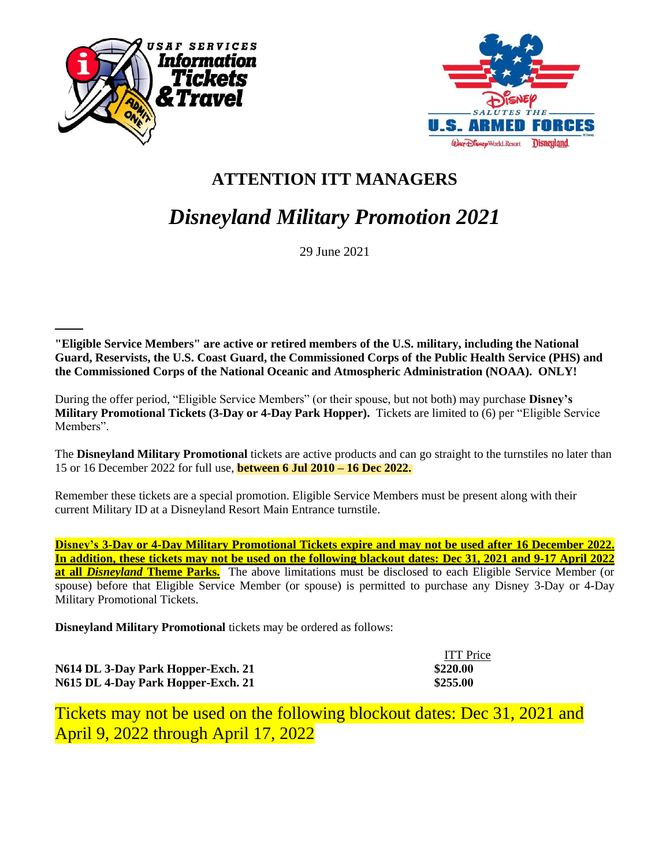



## **ATTENTION ITT MANAGERS**

## *Disneyland Military Promotion 2021*

29 June 2021

**"Eligible Service Members" are active or retired members of the U.S. military, including the National Guard, Reservists, the U.S. Coast Guard, the Commissioned Corps of the Public Health Service (PHS) and the Commissioned Corps of the National Oceanic and Atmospheric Administration (NOAA). ONLY!** 

During the offer period, "Eligible Service Members" (or their spouse, but not both) may purchase **Disney's Military Promotional Tickets (3-Day or 4-Day Park Hopper).** Tickets are limited to (6) per "Eligible Service Members".

The **Disneyland Military Promotional** tickets are active products and can go straight to the turnstiles no later than 15 or 16 December 2022 for full use, **between 6 Jul 2010 – 16 Dec 2022.** 

Remember these tickets are a special promotion. Eligible Service Members must be present along with their current Military ID at a Disneyland Resort Main Entrance turnstile.

**Disney's 3-Day or 4-Day Military Promotional Tickets expire and may not be used after 16 December 2022. In addition, these tickets may not be used on the following blackout dates: Dec 31, 2021 and 9-17 April 2022 at all** *Disneyland* **Theme Parks.** The above limitations must be disclosed to each Eligible Service Member (or spouse) before that Eligible Service Member (or spouse) is permitted to purchase any Disney 3-Day or 4-Day Military Promotional Tickets.

**Disneyland Military Promotional** tickets may be ordered as follows:

|                                    | <b>ITT</b> Price |
|------------------------------------|------------------|
| N614 DL 3-Day Park Hopper-Exch. 21 | \$220.00         |
| N615 DL 4-Day Park Hopper-Exch. 21 | \$255.00         |

Tickets may not be used on the following blockout dates: Dec 31, 2021 and April 9, 2022 through April 17, 2022